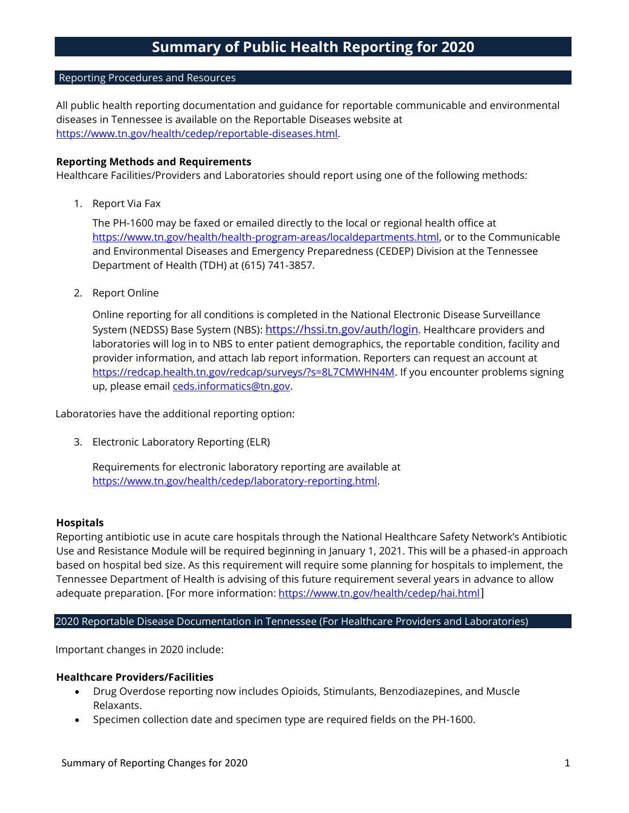## Reporting Procedures and Resources

All public health reporting documentation and guidance for reportable communicable and environmental diseases in Tennessee is available on the Reportable Diseases website at [https://www.tn.gov/health/cedep/reportable-diseases.html.](https://www.tn.gov/health/cedep/reportable-diseases.html)

## **Reporting Methods and Requirements**

Healthcare Facilities/Providers and Laboratories should report using one of the following methods:

1. Report Via Fax

The PH-1600 may be faxed or emailed directly to the local or regional health office at [https://www.tn.gov/health/health-program-areas/localdepartments.html,](https://www.tn.gov/health/health-program-areas/localdepartments.html) or to the Communicable and Environmental Diseases and Emergency Preparedness (CEDEP) Division at the Tennessee Department of Health (TDH) at (615) 741-3857.

2. Report Online

Online reporting for all conditions is completed in the National Electronic Disease Surveillance System (NEDSS) Base System (NBS): <https://hssi.tn.gov/auth/login>. Healthcare providers and laboratories will log in to NBS to enter patient demographics, the reportable condition, facility and provider information, and attach lab report information. Reporters can request an account at [https://redcap.health.tn.gov/redcap/surveys/?s=8L7CMWHN4M.](https://redcap.health.tn.gov/redcap/surveys/?s=8L7CMWHN4M) If you encounter problems signing up, please email [ceds.informatics@tn.gov.](mailto:ceds.informatics@tn.gov)

Laboratories have the additional reporting option:

3. Electronic Laboratory Reporting (ELR)

Requirements for electronic laboratory reporting are available at [https://www.tn.gov/health/cedep/laboratory-reporting.html.](https://www.tn.gov/health/cedep/laboratory-reporting.html)

### **Hospitals**

Reporting antibiotic use in acute care hospitals through the National Healthcare Safety Network's Antibiotic Use and Resistance Module will be required beginning in January 1, 2021. This will be a phased-in approach based on hospital bed size. As this requirement will require some planning for hospitals to implement, the Tennessee Department of Health is advising of this future requirement several years in advance to allow adequate preparation. [For more information: <https://www.tn.gov/health/cedep/hai.html>]

# 2020 Reportable Disease Documentation in Tennessee (For Healthcare Providers and Laboratories)

Important changes in 2020 include:

### **Healthcare Providers/Facilities**

- Drug Overdose reporting now includes Opioids, Stimulants, Benzodiazepines, and Muscle Relaxants.
- Specimen collection date and specimen type are required fields on the PH-1600.